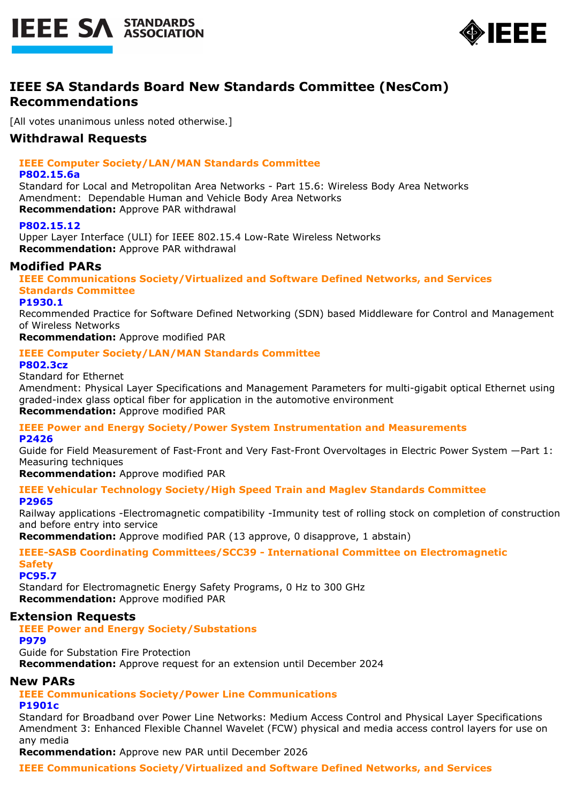



# **IEEE SA Standards Board New Standards Committee (NesCom) Recommendations**

[All votes unanimous unless noted otherwise.]

# **Withdrawal Requests**

# **IEEE Computer Society/LAN/MAN Standards Committee**

### **P802.15.6a**

Standard for Local and Metropolitan Area Networks - Part 15.6: Wireless Body Area Networks Amendment: Dependable Human and Vehicle Body Area Networks **Recommendation:** Approve PAR withdrawal

# **P802.15.12**

Upper Layer Interface (ULI) for IEEE 802.15.4 Low-Rate Wireless Networks **Recommendation:** Approve PAR withdrawal

# **Modified PARs**

**IEEE Communications Society/Virtualized and Software Defined Networks, and Services Standards Committee**

### **P1930.1**

Recommended Practice for Software Defined Networking (SDN) based Middleware for Control and Management of Wireless Networks

**Recommendation:** Approve modified PAR

# **IEEE Computer Society/LAN/MAN Standards Committee**

### **P802.3cz**

Standard for Ethernet

Amendment: Physical Layer Specifications and Management Parameters for multi-gigabit optical Ethernet using graded-index glass optical fiber for application in the automotive environment **Recommendation:** Approve modified PAR

# **IEEE Power and Energy Society/Power System Instrumentation and Measurements**

**P2426**

Guide for Field Measurement of Fast-Front and Very Fast-Front Overvoltages in Electric Power System —Part 1: Measuring techniques

# **Recommendation:** Approve modified PAR

**IEEE Vehicular Technology Society/High Speed Train and Maglev Standards Committee P2965**

Railway applications -Electromagnetic compatibility -Immunity test of rolling stock on completion of construction and before entry into service

**Recommendation:** Approve modified PAR (13 approve, 0 disapprove, 1 abstain)

**IEEE-SASB Coordinating Committees/SCC39 - International Committee on Electromagnetic Safety**

**PC95.7**

Standard for Electromagnetic Energy Safety Programs, 0 Hz to 300 GHz **Recommendation:** Approve modified PAR

# **Extension Requests**

**IEEE Power and Energy Society/Substations**

**P979**

Guide for Substation Fire Protection **Recommendation:** Approve request for an extension until December 2024

# **New PARs**

**IEEE Communications Society/Power Line Communications**

# **P1901c**

Standard for Broadband over Power Line Networks: Medium Access Control and Physical Layer Specifications Amendment 3: Enhanced Flexible Channel Wavelet (FCW) physical and media access control layers for use on any media

**Recommendation:** Approve new PAR until December 2026

**IEEE Communications Society/Virtualized and Software Defined Networks, and Services**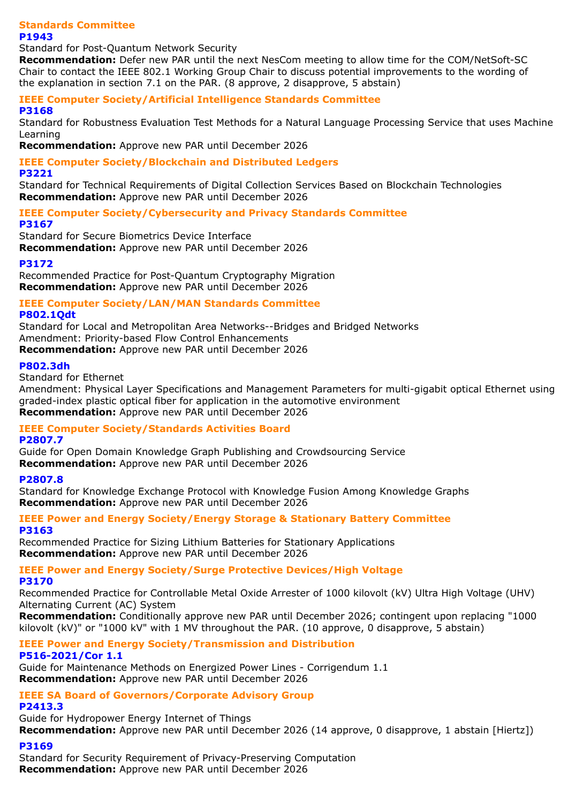#### **Standards Committee P1943**

#### Standard for Post-Quantum Network Security

**Recommendation:** Defer new PAR until the next NesCom meeting to allow time for the COM/NetSoft-SC Chair to contact the IEEE 802.1 Working Group Chair to discuss potential improvements to the wording of the explanation in section 7.1 on the PAR. (8 approve, 2 disapprove, 5 abstain)

# **IEEE Computer Society/Artificial Intelligence Standards Committee**

**P3168**

Standard for Robustness Evaluation Test Methods for a Natural Language Processing Service that uses Machine Learning

**Recommendation:** Approve new PAR until December 2026

# **IEEE Computer Society/Blockchain and Distributed Ledgers**

### **P3221**

Standard for Technical Requirements of Digital Collection Services Based on Blockchain Technologies **Recommendation:** Approve new PAR until December 2026

# **IEEE Computer Society/Cybersecurity and Privacy Standards Committee**

### **P3167**

Standard for Secure Biometrics Device Interface **Recommendation:** Approve new PAR until December 2026

# **P3172**

Recommended Practice for Post-Quantum Cryptography Migration **Recommendation:** Approve new PAR until December 2026

# **IEEE Computer Society/LAN/MAN Standards Committee**

### **P802.1Qdt**

Standard for Local and Metropolitan Area Networks--Bridges and Bridged Networks Amendment: Priority-based Flow Control Enhancements **Recommendation:** Approve new PAR until December 2026

# **P802.3dh**

Standard for Ethernet

Amendment: Physical Layer Specifications and Management Parameters for multi-gigabit optical Ethernet using graded-index plastic optical fiber for application in the automotive environment **Recommendation:** Approve new PAR until December 2026

# **IEEE Computer Society/Standards Activities Board**

# **P2807.7**

Guide for Open Domain Knowledge Graph Publishing and Crowdsourcing Service **Recommendation:** Approve new PAR until December 2026

# **P2807.8**

Standard for Knowledge Exchange Protocol with Knowledge Fusion Among Knowledge Graphs **Recommendation:** Approve new PAR until December 2026

### **IEEE Power and Energy Society/Energy Storage & Stationary Battery Committee P3163**

Recommended Practice for Sizing Lithium Batteries for Stationary Applications **Recommendation:** Approve new PAR until December 2026

# **IEEE Power and Energy Society/Surge Protective Devices/High Voltage**

### **P3170**

Recommended Practice for Controllable Metal Oxide Arrester of 1000 kilovolt (kV) Ultra High Voltage (UHV) Alternating Current (AC) System

**Recommendation:** Conditionally approve new PAR until December 2026; contingent upon replacing "1000 kilovolt (kV)" or "1000 kV" with 1 MV throughout the PAR. (10 approve, 0 disapprove, 5 abstain)

# **IEEE Power and Energy Society/Transmission and Distribution P516-2021/Cor 1.1**

Guide for Maintenance Methods on Energized Power Lines - Corrigendum 1.1 **Recommendation:** Approve new PAR until December 2026

#### **IEEE SA Board of Governors/Corporate Advisory Group P2413.3**

Guide for Hydropower Energy Internet of Things **Recommendation:** Approve new PAR until December 2026 (14 approve, 0 disapprove, 1 abstain [Hiertz])

# **P3169**

Standard for Security Requirement of Privacy-Preserving Computation **Recommendation:** Approve new PAR until December 2026